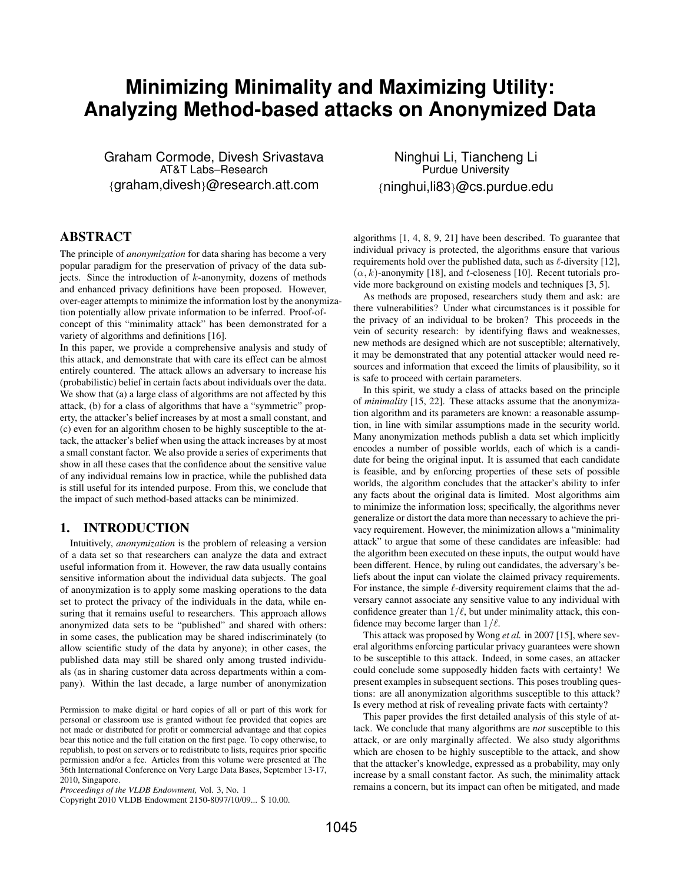# **Minimizing Minimality and Maximizing Utility: Analyzing Method-based attacks on Anonymized Data**

Graham Cormode, Divesh Srivastava AT&T Labs–Research {graham,divesh}@research.att.com

ABSTRACT

The principle of *anonymization* for data sharing has become a very popular paradigm for the preservation of privacy of the data subjects. Since the introduction of  $k$ -anonymity, dozens of methods and enhanced privacy definitions have been proposed. However, over-eager attempts to minimize the information lost by the anonymization potentially allow private information to be inferred. Proof-ofconcept of this "minimality attack" has been demonstrated for a variety of algorithms and definitions [16].

In this paper, we provide a comprehensive analysis and study of this attack, and demonstrate that with care its effect can be almost entirely countered. The attack allows an adversary to increase his (probabilistic) belief in certain facts about individuals over the data. We show that (a) a large class of algorithms are not affected by this attack, (b) for a class of algorithms that have a "symmetric" property, the attacker's belief increases by at most a small constant, and (c) even for an algorithm chosen to be highly susceptible to the attack, the attacker's belief when using the attack increases by at most a small constant factor. We also provide a series of experiments that show in all these cases that the confidence about the sensitive value of any individual remains low in practice, while the published data is still useful for its intended purpose. From this, we conclude that the impact of such method-based attacks can be minimized.

## 1. INTRODUCTION

Intuitively, *anonymization* is the problem of releasing a version of a data set so that researchers can analyze the data and extract useful information from it. However, the raw data usually contains sensitive information about the individual data subjects. The goal of anonymization is to apply some masking operations to the data set to protect the privacy of the individuals in the data, while ensuring that it remains useful to researchers. This approach allows anonymized data sets to be "published" and shared with others: in some cases, the publication may be shared indiscriminately (to allow scientific study of the data by anyone); in other cases, the published data may still be shared only among trusted individuals (as in sharing customer data across departments within a company). Within the last decade, a large number of anonymization

Copyright 2010 VLDB Endowment 2150-8097/10/09... \$ 10.00.

Ninghui Li, Tiancheng Li Purdue University {ninghui,li83}@cs.purdue.edu

algorithms [1, 4, 8, 9, 21] have been described. To guarantee that individual privacy is protected, the algorithms ensure that various requirements hold over the published data, such as  $\ell$ -diversity [12],  $(\alpha, k)$ -anonymity [18], and t-closeness [10]. Recent tutorials provide more background on existing models and techniques [3, 5].

As methods are proposed, researchers study them and ask: are there vulnerabilities? Under what circumstances is it possible for the privacy of an individual to be broken? This proceeds in the vein of security research: by identifying flaws and weaknesses, new methods are designed which are not susceptible; alternatively, it may be demonstrated that any potential attacker would need resources and information that exceed the limits of plausibility, so it is safe to proceed with certain parameters.

In this spirit, we study a class of attacks based on the principle of *minimality* [15, 22]. These attacks assume that the anonymization algorithm and its parameters are known: a reasonable assumption, in line with similar assumptions made in the security world. Many anonymization methods publish a data set which implicitly encodes a number of possible worlds, each of which is a candidate for being the original input. It is assumed that each candidate is feasible, and by enforcing properties of these sets of possible worlds, the algorithm concludes that the attacker's ability to infer any facts about the original data is limited. Most algorithms aim to minimize the information loss; specifically, the algorithms never generalize or distort the data more than necessary to achieve the privacy requirement. However, the minimization allows a "minimality attack" to argue that some of these candidates are infeasible: had the algorithm been executed on these inputs, the output would have been different. Hence, by ruling out candidates, the adversary's beliefs about the input can violate the claimed privacy requirements. For instance, the simple  $\ell$ -diversity requirement claims that the adversary cannot associate any sensitive value to any individual with confidence greater than  $1/\ell$ , but under minimality attack, this confidence may become larger than  $1/\ell$ .

This attack was proposed by Wong *et al.* in 2007 [15], where several algorithms enforcing particular privacy guarantees were shown to be susceptible to this attack. Indeed, in some cases, an attacker could conclude some supposedly hidden facts with certainty! We present examples in subsequent sections. This poses troubling questions: are all anonymization algorithms susceptible to this attack? Is every method at risk of revealing private facts with certainty?

This paper provides the first detailed analysis of this style of attack. We conclude that many algorithms are *not* susceptible to this attack, or are only marginally affected. We also study algorithms which are chosen to be highly susceptible to the attack, and show that the attacker's knowledge, expressed as a probability, may only increase by a small constant factor. As such, the minimality attack remains a concern, but its impact can often be mitigated, and made

Permission to make digital or hard copies of all or part of this work for personal or classroom use is granted without fee provided that copies are not made or distributed for profit or commercial advantage and that copies bear this notice and the full citation on the first page. To copy otherwise, to republish, to post on servers or to redistribute to lists, requires prior specific permission and/or a fee. Articles from this volume were presented at The 36th International Conference on Very Large Data Bases, September 13-17, 2010, Singapore.

*Proceedings of the VLDB Endowment,* Vol. 3, No. 1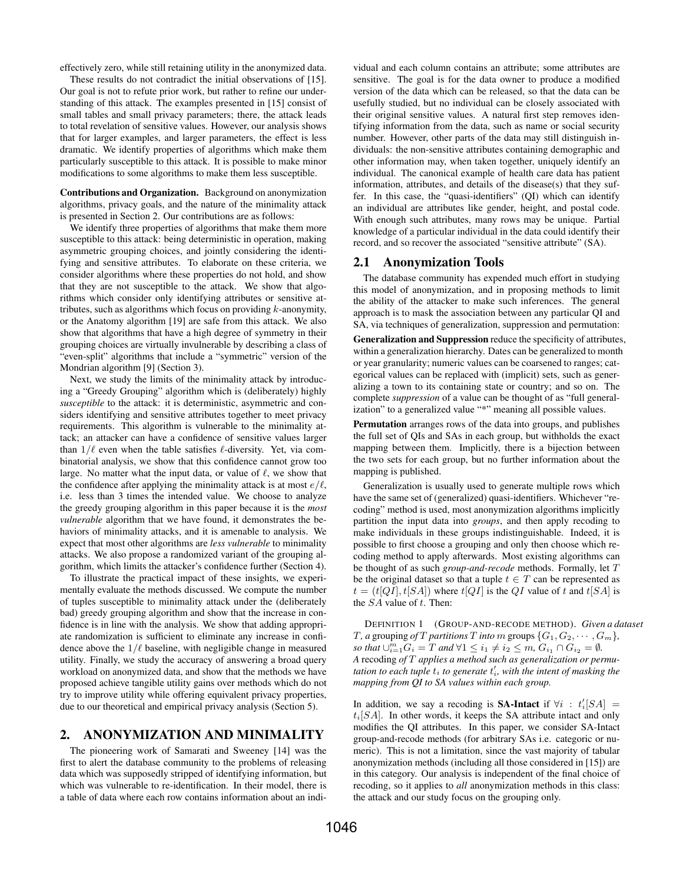effectively zero, while still retaining utility in the anonymized data.

These results do not contradict the initial observations of [15]. Our goal is not to refute prior work, but rather to refine our understanding of this attack. The examples presented in [15] consist of small tables and small privacy parameters; there, the attack leads to total revelation of sensitive values. However, our analysis shows that for larger examples, and larger parameters, the effect is less dramatic. We identify properties of algorithms which make them particularly susceptible to this attack. It is possible to make minor modifications to some algorithms to make them less susceptible.

Contributions and Organization. Background on anonymization algorithms, privacy goals, and the nature of the minimality attack is presented in Section 2. Our contributions are as follows:

We identify three properties of algorithms that make them more susceptible to this attack: being deterministic in operation, making asymmetric grouping choices, and jointly considering the identifying and sensitive attributes. To elaborate on these criteria, we consider algorithms where these properties do not hold, and show that they are not susceptible to the attack. We show that algorithms which consider only identifying attributes or sensitive attributes, such as algorithms which focus on providing  $k$ -anonymity, or the Anatomy algorithm [19] are safe from this attack. We also show that algorithms that have a high degree of symmetry in their grouping choices are virtually invulnerable by describing a class of "even-split" algorithms that include a "symmetric" version of the Mondrian algorithm [9] (Section 3).

Next, we study the limits of the minimality attack by introducing a "Greedy Grouping" algorithm which is (deliberately) highly *susceptible* to the attack: it is deterministic, asymmetric and considers identifying and sensitive attributes together to meet privacy requirements. This algorithm is vulnerable to the minimality attack; an attacker can have a confidence of sensitive values larger than  $1/\ell$  even when the table satisfies  $\ell$ -diversity. Yet, via combinatorial analysis, we show that this confidence cannot grow too large. No matter what the input data, or value of  $\ell$ , we show that the confidence after applying the minimality attack is at most  $e/\ell$ , i.e. less than 3 times the intended value. We choose to analyze the greedy grouping algorithm in this paper because it is the *most vulnerable* algorithm that we have found, it demonstrates the behaviors of minimality attacks, and it is amenable to analysis. We expect that most other algorithms are *less vulnerable* to minimality attacks. We also propose a randomized variant of the grouping algorithm, which limits the attacker's confidence further (Section 4).

To illustrate the practical impact of these insights, we experimentally evaluate the methods discussed. We compute the number of tuples susceptible to minimality attack under the (deliberately bad) greedy grouping algorithm and show that the increase in confidence is in line with the analysis. We show that adding appropriate randomization is sufficient to eliminate any increase in confidence above the  $1/\ell$  baseline, with negligible change in measured utility. Finally, we study the accuracy of answering a broad query workload on anonymized data, and show that the methods we have proposed achieve tangible utility gains over methods which do not try to improve utility while offering equivalent privacy properties, due to our theoretical and empirical privacy analysis (Section 5).

## 2. ANONYMIZATION AND MINIMALITY

The pioneering work of Samarati and Sweeney [14] was the first to alert the database community to the problems of releasing data which was supposedly stripped of identifying information, but which was vulnerable to re-identification. In their model, there is a table of data where each row contains information about an individual and each column contains an attribute; some attributes are sensitive. The goal is for the data owner to produce a modified version of the data which can be released, so that the data can be usefully studied, but no individual can be closely associated with their original sensitive values. A natural first step removes identifying information from the data, such as name or social security number. However, other parts of the data may still distinguish individuals: the non-sensitive attributes containing demographic and other information may, when taken together, uniquely identify an individual. The canonical example of health care data has patient information, attributes, and details of the disease(s) that they suffer. In this case, the "quasi-identifiers" (QI) which can identify an individual are attributes like gender, height, and postal code. With enough such attributes, many rows may be unique. Partial knowledge of a particular individual in the data could identify their record, and so recover the associated "sensitive attribute" (SA).

#### 2.1 Anonymization Tools

The database community has expended much effort in studying this model of anonymization, and in proposing methods to limit the ability of the attacker to make such inferences. The general approach is to mask the association between any particular QI and SA, via techniques of generalization, suppression and permutation:

Generalization and Suppression reduce the specificity of attributes, within a generalization hierarchy. Dates can be generalized to month or year granularity; numeric values can be coarsened to ranges; categorical values can be replaced with (implicit) sets, such as generalizing a town to its containing state or country; and so on. The complete *suppression* of a value can be thought of as "full generalization" to a generalized value "\*" meaning all possible values.

Permutation arranges rows of the data into groups, and publishes the full set of QIs and SAs in each group, but withholds the exact mapping between them. Implicitly, there is a bijection between the two sets for each group, but no further information about the mapping is published.

Generalization is usually used to generate multiple rows which have the same set of (generalized) quasi-identifiers. Whichever "recoding" method is used, most anonymization algorithms implicitly partition the input data into *groups*, and then apply recoding to make individuals in these groups indistinguishable. Indeed, it is possible to first choose a grouping and only then choose which recoding method to apply afterwards. Most existing algorithms can be thought of as such *group-and-recode* methods. Formally, let T be the original dataset so that a tuple  $t \in T$  can be represented as  $t = (t[QI], t[SA])$  where  $t[QI]$  is the QI value of t and  $t[SA]$  is the  $SA$  value of  $t$ . Then:

DEFINITION 1 (GROUP-AND-RECODE METHOD). *Given a dataset* T, a grouping of T partitions T into m groups  $\{G_1, G_2, \cdots, G_m\}$ , *so that*  $\bigcup_{i=1}^{m} G_i = T$  *and*  $\forall 1 \leq i_1 \neq i_2 \leq m$ ,  $G_{i_1} \cap G_{i_2} = \emptyset$ *. A* recoding *of* T *applies a method such as generalization or permu*tation to each tuple  $t_i$  to generate  $t'_i$ , with the intent of masking the *mapping from QI to SA values within each group.*

In addition, we say a recoding is **SA-Intact** if  $\forall i : t'_i[SA] =$  $t_i[SA]$ . In other words, it keeps the SA attribute intact and only modifies the QI attributes. In this paper, we consider SA-Intact group-and-recode methods (for arbitrary SAs i.e. categoric or numeric). This is not a limitation, since the vast majority of tabular anonymization methods (including all those considered in [15]) are in this category. Our analysis is independent of the final choice of recoding, so it applies to *all* anonymization methods in this class: the attack and our study focus on the grouping only.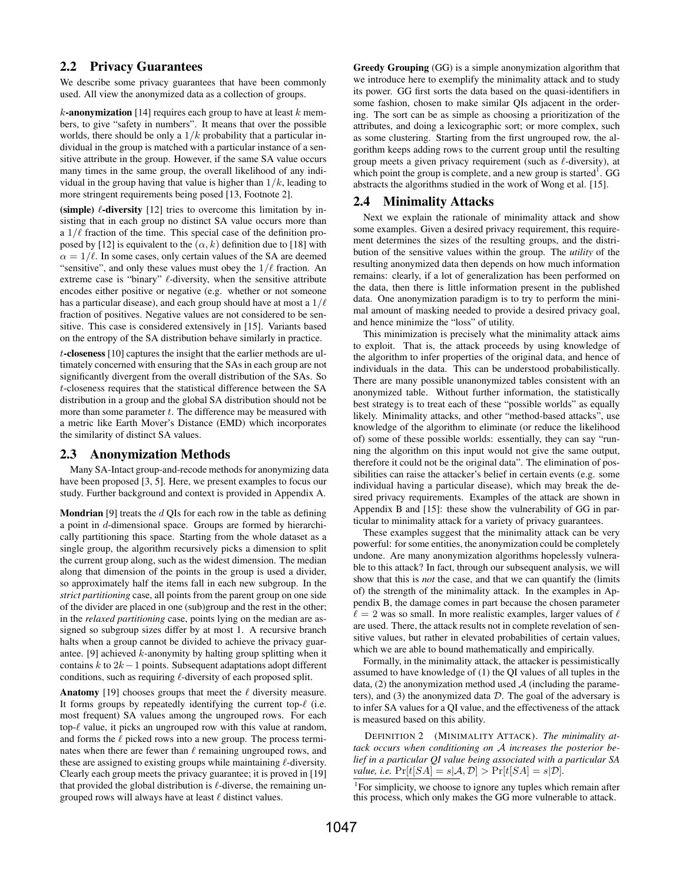## 2.2 Privacy Guarantees

We describe some privacy guarantees that have been commonly used. All view the anonymized data as a collection of groups.

k-anonymization [14] requires each group to have at least  $k$  members, to give "safety in numbers". It means that over the possible worlds, there should be only a  $1/k$  probability that a particular individual in the group is matched with a particular instance of a sensitive attribute in the group. However, if the same SA value occurs many times in the same group, the overall likelihood of any individual in the group having that value is higher than  $1/k$ , leading to more stringent requirements being posed [13, Footnote 2].

(simple)  $\ell$ -diversity [12] tries to overcome this limitation by insisting that in each group no distinct SA value occurs more than a  $1/\ell$  fraction of the time. This special case of the definition proposed by [12] is equivalent to the  $(\alpha, k)$  definition due to [18] with  $\alpha = 1/\ell$ . In some cases, only certain values of the SA are deemed "sensitive", and only these values must obey the  $1/\ell$  fraction. An extreme case is "binary"  $\ell$ -diversity, when the sensitive attribute encodes either positive or negative (e.g. whether or not someone has a particular disease), and each group should have at most a  $1/\ell$ fraction of positives. Negative values are not considered to be sensitive. This case is considered extensively in [15]. Variants based on the entropy of the SA distribution behave similarly in practice.

t-closeness [10] captures the insight that the earlier methods are ultimately concerned with ensuring that the SAs in each group are not significantly divergent from the overall distribution of the SAs. So t-closeness requires that the statistical difference between the SA distribution in a group and the global SA distribution should not be more than some parameter  $t$ . The difference may be measured with a metric like Earth Mover's Distance (EMD) which incorporates the similarity of distinct SA values.

## 2.3 Anonymization Methods

Many SA-Intact group-and-recode methods for anonymizing data have been proposed [3, 5]. Here, we present examples to focus our study. Further background and context is provided in Appendix A.

**Mondrian** [9] treats the  $d$  QIs for each row in the table as defining a point in d-dimensional space. Groups are formed by hierarchically partitioning this space. Starting from the whole dataset as a single group, the algorithm recursively picks a dimension to split the current group along, such as the widest dimension. The median along that dimension of the points in the group is used a divider, so approximately half the items fall in each new subgroup. In the *strict partitioning* case, all points from the parent group on one side of the divider are placed in one (sub)group and the rest in the other; in the *relaxed partitioning* case, points lying on the median are assigned so subgroup sizes differ by at most 1. A recursive branch halts when a group cannot be divided to achieve the privacy guarantee. [9] achieved  $k$ -anonymity by halting group splitting when it contains  $k$  to  $2k-1$  points. Subsequent adaptations adopt different conditions, such as requiring  $\ell$ -diversity of each proposed split.

**Anatomy** [19] chooses groups that meet the  $\ell$  diversity measure. It forms groups by repeatedly identifying the current top- $\ell$  (i.e. most frequent) SA values among the ungrouped rows. For each top- $\ell$  value, it picks an ungrouped row with this value at random, and forms the  $\ell$  picked rows into a new group. The process terminates when there are fewer than  $\ell$  remaining ungrouped rows, and these are assigned to existing groups while maintaining  $\ell$ -diversity. Clearly each group meets the privacy guarantee; it is proved in [19] that provided the global distribution is  $\ell$ -diverse, the remaining ungrouped rows will always have at least  $\ell$  distinct values.

Greedy Grouping (GG) is a simple anonymization algorithm that we introduce here to exemplify the minimality attack and to study its power. GG first sorts the data based on the quasi-identifiers in some fashion, chosen to make similar QIs adjacent in the ordering. The sort can be as simple as choosing a prioritization of the attributes, and doing a lexicographic sort; or more complex, such as some clustering. Starting from the first ungrouped row, the algorithm keeps adding rows to the current group until the resulting group meets a given privacy requirement (such as  $\ell$ -diversity), at which point the group is complete, and a new group is started<sup>1</sup>. GG abstracts the algorithms studied in the work of Wong et al. [15].

## 2.4 Minimality Attacks

Next we explain the rationale of minimality attack and show some examples. Given a desired privacy requirement, this requirement determines the sizes of the resulting groups, and the distribution of the sensitive values within the group. The *utility* of the resulting anonymized data then depends on how much information remains: clearly, if a lot of generalization has been performed on the data, then there is little information present in the published data. One anonymization paradigm is to try to perform the minimal amount of masking needed to provide a desired privacy goal, and hence minimize the "loss" of utility.

This minimization is precisely what the minimality attack aims to exploit. That is, the attack proceeds by using knowledge of the algorithm to infer properties of the original data, and hence of individuals in the data. This can be understood probabilistically. There are many possible unanonymized tables consistent with an anonymized table. Without further information, the statistically best strategy is to treat each of these "possible worlds" as equally likely. Minimality attacks, and other "method-based attacks", use knowledge of the algorithm to eliminate (or reduce the likelihood of) some of these possible worlds: essentially, they can say "running the algorithm on this input would not give the same output, therefore it could not be the original data". The elimination of possibilities can raise the attacker's belief in certain events (e.g. some individual having a particular disease), which may break the desired privacy requirements. Examples of the attack are shown in Appendix B and [15]: these show the vulnerability of GG in particular to minimality attack for a variety of privacy guarantees.

These examples suggest that the minimality attack can be very powerful: for some entities, the anonymization could be completely undone. Are many anonymization algorithms hopelessly vulnerable to this attack? In fact, through our subsequent analysis, we will show that this is *not* the case, and that we can quantify the (limits of) the strength of the minimality attack. In the examples in Appendix B, the damage comes in part because the chosen parameter  $\ell = 2$  was so small. In more realistic examples, larger values of  $\ell$ are used. There, the attack results not in complete revelation of sensitive values, but rather in elevated probabilities of certain values, which we are able to bound mathematically and empirically.

Formally, in the minimality attack, the attacker is pessimistically assumed to have knowledge of (1) the QI values of all tuples in the data, (2) the anonymization method used  $A$  (including the parameters), and (3) the anonymized data  $D$ . The goal of the adversary is to infer SA values for a QI value, and the effectiveness of the attack is measured based on this ability.

DEFINITION 2 (MINIMALITY ATTACK). *The minimality attack occurs when conditioning on* A *increases the posterior belief in a particular QI value being associated with a particular SA value, i.e.*  $Pr[t|SA] = s|A, D] > Pr[t|SA] = s|D|$ *.* 

<sup>&</sup>lt;sup>1</sup>For simplicity, we choose to ignore any tuples which remain after this process, which only makes the GG more vulnerable to attack.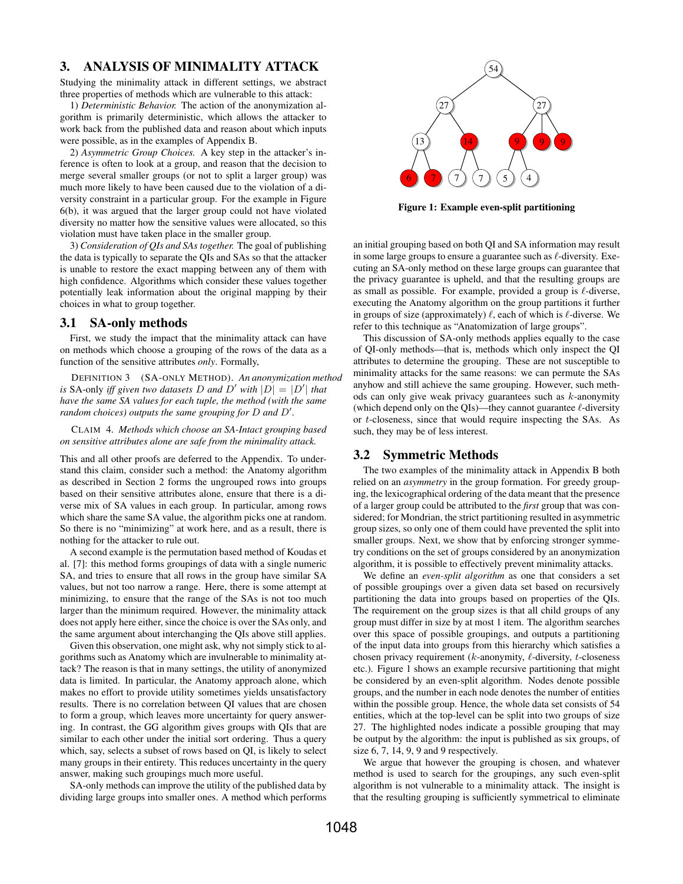# 3. ANALYSIS OF MINIMALITY ATTACK

Studying the minimality attack in different settings, we abstract three properties of methods which are vulnerable to this attack:

1) *Deterministic Behavior.* The action of the anonymization algorithm is primarily deterministic, which allows the attacker to work back from the published data and reason about which inputs were possible, as in the examples of Appendix B.

2) *Asymmetric Group Choices.* A key step in the attacker's inference is often to look at a group, and reason that the decision to merge several smaller groups (or not to split a larger group) was much more likely to have been caused due to the violation of a diversity constraint in a particular group. For the example in Figure 6(b), it was argued that the larger group could not have violated diversity no matter how the sensitive values were allocated, so this violation must have taken place in the smaller group.

3) *Consideration of QIs and SAs together.* The goal of publishing the data is typically to separate the QIs and SAs so that the attacker is unable to restore the exact mapping between any of them with high confidence. Algorithms which consider these values together potentially leak information about the original mapping by their choices in what to group together.

#### 3.1 SA-only methods

First, we study the impact that the minimality attack can have on methods which choose a grouping of the rows of the data as a function of the sensitive attributes *only*. Formally,

DEFINITION 3 (SA-ONLY METHOD). *An anonymization method* is SA-only *iff given two datasets*  $D$  *and*  $D'$  *with*  $|D| = |D'|$  *that have the same SA values for each tuple, the method (with the same random choices) outputs the same grouping for D* and *D'*.

CLAIM 4. *Methods which choose an SA-Intact grouping based on sensitive attributes alone are safe from the minimality attack.*

This and all other proofs are deferred to the Appendix. To understand this claim, consider such a method: the Anatomy algorithm as described in Section 2 forms the ungrouped rows into groups based on their sensitive attributes alone, ensure that there is a diverse mix of SA values in each group. In particular, among rows which share the same SA value, the algorithm picks one at random. So there is no "minimizing" at work here, and as a result, there is nothing for the attacker to rule out.

A second example is the permutation based method of Koudas et al. [7]: this method forms groupings of data with a single numeric SA, and tries to ensure that all rows in the group have similar SA values, but not too narrow a range. Here, there is some attempt at minimizing, to ensure that the range of the SAs is not too much larger than the minimum required. However, the minimality attack does not apply here either, since the choice is over the SAs only, and the same argument about interchanging the QIs above still applies.

Given this observation, one might ask, why not simply stick to algorithms such as Anatomy which are invulnerable to minimality attack? The reason is that in many settings, the utility of anonymized data is limited. In particular, the Anatomy approach alone, which makes no effort to provide utility sometimes yields unsatisfactory results. There is no correlation between QI values that are chosen to form a group, which leaves more uncertainty for query answering. In contrast, the GG algorithm gives groups with QIs that are similar to each other under the initial sort ordering. Thus a query which, say, selects a subset of rows based on QI, is likely to select many groups in their entirety. This reduces uncertainty in the query answer, making such groupings much more useful.

SA-only methods can improve the utility of the published data by dividing large groups into smaller ones. A method which performs



Figure 1: Example even-split partitioning

an initial grouping based on both QI and SA information may result in some large groups to ensure a guarantee such as  $\ell$ -diversity. Executing an SA-only method on these large groups can guarantee that the privacy guarantee is upheld, and that the resulting groups are as small as possible. For example, provided a group is  $\ell$ -diverse, executing the Anatomy algorithm on the group partitions it further in groups of size (approximately)  $\ell$ , each of which is  $\ell$ -diverse. We refer to this technique as "Anatomization of large groups".

This discussion of SA-only methods applies equally to the case of QI-only methods—that is, methods which only inspect the QI attributes to determine the grouping. These are not susceptible to minimality attacks for the same reasons: we can permute the SAs anyhow and still achieve the same grouping. However, such methods can only give weak privacy guarantees such as  $k$ -anonymity (which depend only on the QIs)—they cannot guarantee  $\ell$ -diversity or t-closeness, since that would require inspecting the SAs. As such, they may be of less interest.

#### 3.2 Symmetric Methods

The two examples of the minimality attack in Appendix B both relied on an *asymmetry* in the group formation. For greedy grouping, the lexicographical ordering of the data meant that the presence of a larger group could be attributed to the *first* group that was considered; for Mondrian, the strict partitioning resulted in asymmetric group sizes, so only one of them could have prevented the split into smaller groups. Next, we show that by enforcing stronger symmetry conditions on the set of groups considered by an anonymization algorithm, it is possible to effectively prevent minimality attacks.

We define an *even-split algorithm* as one that considers a set of possible groupings over a given data set based on recursively partitioning the data into groups based on properties of the QIs. The requirement on the group sizes is that all child groups of any group must differ in size by at most 1 item. The algorithm searches over this space of possible groupings, and outputs a partitioning of the input data into groups from this hierarchy which satisfies a chosen privacy requirement ( $k$ -anonymity,  $\ell$ -diversity,  $t$ -closeness etc.). Figure 1 shows an example recursive partitioning that might be considered by an even-split algorithm. Nodes denote possible groups, and the number in each node denotes the number of entities within the possible group. Hence, the whole data set consists of 54 entities, which at the top-level can be split into two groups of size 27. The highlighted nodes indicate a possible grouping that may be output by the algorithm: the input is published as six groups, of size 6, 7, 14, 9, 9 and 9 respectively.

We argue that however the grouping is chosen, and whatever method is used to search for the groupings, any such even-split algorithm is not vulnerable to a minimality attack. The insight is that the resulting grouping is sufficiently symmetrical to eliminate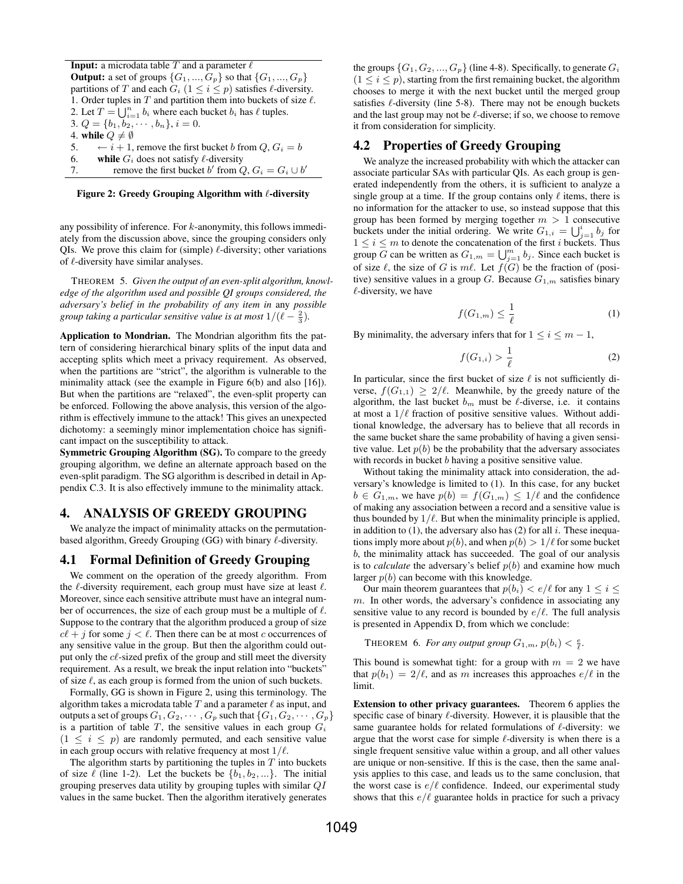**Input:** a microdata table T and a parameter  $\ell$ **Output:** a set of groups  $\{G_1, ..., G_p\}$  so that  $\{G_1, ..., G_p\}$ partitions of T and each  $G_i$  ( $1 \le i \le p$ ) satisfies  $\ell$ -diversity. 1. Order tuples in  $T$  and partition them into buckets of size  $\ell$ . 2. Let  $T = \bigcup_{i=1}^{n} b_i$  where each bucket  $b_i$  has  $\ell$  tuples. 3.  $Q = \{b_1, b_2, \cdots, b_n\}, i = 0.$ 4. while  $Q \neq \emptyset$ 5.  $\leftarrow i + 1$ , remove the first bucket b from  $Q, G_i = b$ 6. while  $G_i$  does not satisfy  $\ell$ -diversity

7. remove the first bucket b' from  $Q, G_i = G_i \cup b'$ 

Figure 2: Greedy Grouping Algorithm with  $\ell$ -diversity

any possibility of inference. For  $k$ -anonymity, this follows immediately from the discussion above, since the grouping considers only QIs. We prove this claim for (simple)  $\ell$ -diversity; other variations of  $\ell$ -diversity have similar analyses.

THEOREM 5. *Given the output of an even-split algorithm, knowledge of the algorithm used and possible QI groups considered, the adversary's belief in the probability of any item in* any *possible group taking a particular sensitive value is at most*  $1/(\ell - \frac{2}{3})$ .

Application to Mondrian. The Mondrian algorithm fits the pattern of considering hierarchical binary splits of the input data and accepting splits which meet a privacy requirement. As observed, when the partitions are "strict", the algorithm is vulnerable to the minimality attack (see the example in Figure 6(b) and also [16]). But when the partitions are "relaxed", the even-split property can be enforced. Following the above analysis, this version of the algorithm is effectively immune to the attack! This gives an unexpected dichotomy: a seemingly minor implementation choice has significant impact on the susceptibility to attack.

Symmetric Grouping Algorithm (SG). To compare to the greedy grouping algorithm, we define an alternate approach based on the even-split paradigm. The SG algorithm is described in detail in Appendix C.3. It is also effectively immune to the minimality attack.

#### 4. ANALYSIS OF GREEDY GROUPING

We analyze the impact of minimality attacks on the permutationbased algorithm, Greedy Grouping (GG) with binary  $\ell$ -diversity.

#### 4.1 Formal Definition of Greedy Grouping

We comment on the operation of the greedy algorithm. From the  $\ell$ -diversity requirement, each group must have size at least  $\ell$ . Moreover, since each sensitive attribute must have an integral number of occurrences, the size of each group must be a multiple of  $\ell$ . Suppose to the contrary that the algorithm produced a group of size  $c\ell + i$  for some  $j < \ell$ . Then there can be at most c occurrences of any sensitive value in the group. But then the algorithm could output only the  $c\ell$ -sized prefix of the group and still meet the diversity requirement. As a result, we break the input relation into "buckets" of size  $\ell$ , as each group is formed from the union of such buckets.

Formally, GG is shown in Figure 2, using this terminology. The algorithm takes a microdata table T and a parameter  $\ell$  as input, and outputs a set of groups  $G_1, G_2, \cdots, G_p$  such that  $\{G_1, G_2, \cdots, G_p\}$ is a partition of table T, the sensitive values in each group  $G_i$  $(1 \leq i \leq p)$  are randomly permuted, and each sensitive value in each group occurs with relative frequency at most  $1/\ell$ .

The algorithm starts by partitioning the tuples in  $T$  into buckets of size  $\ell$  (line 1-2). Let the buckets be  $\{b_1, b_2, ...\}$ . The initial grouping preserves data utility by grouping tuples with similar  $QI$ values in the same bucket. Then the algorithm iteratively generates the groups  $\{G_1, G_2, ..., G_p\}$  (line 4-8). Specifically, to generate  $G_i$  $(1 \le i \le p)$ , starting from the first remaining bucket, the algorithm chooses to merge it with the next bucket until the merged group satisfies  $\ell$ -diversity (line 5-8). There may not be enough buckets and the last group may not be  $\ell$ -diverse; if so, we choose to remove it from consideration for simplicity.

#### 4.2 Properties of Greedy Grouping

We analyze the increased probability with which the attacker can associate particular SAs with particular QIs. As each group is generated independently from the others, it is sufficient to analyze a single group at a time. If the group contains only  $\ell$  items, there is no information for the attacker to use, so instead suppose that this group has been formed by merging together  $m > 1$  consecutive buckets under the initial ordering. We write  $G_{1,i} = \bigcup_{j=1}^{i} b_j$  for  $1 \leq i \leq m$  to denote the concatenation of the first i buckets. Thus group G can be written as  $G_{1,m} = \bigcup_{j=1}^{m} b_j$ . Since each bucket is of size  $\ell$ , the size of G is m $\ell$ . Let  $f(G)$  be the fraction of (positive) sensitive values in a group G. Because  $G_{1,m}$  satisfies binary  $\ell$ -diversity, we have

$$
f(G_{1,m}) \le \frac{1}{\ell} \tag{1}
$$

By minimality, the adversary infers that for  $1 \le i \le m - 1$ ,

$$
f(G_{1,i}) > \frac{1}{\ell} \tag{2}
$$

In particular, since the first bucket of size  $\ell$  is not sufficiently diverse,  $f(G_{1,1}) \geq 2/\ell$ . Meanwhile, by the greedy nature of the algorithm, the last bucket  $b_m$  must be  $\ell$ -diverse, i.e. it contains at most a  $1/\ell$  fraction of positive sensitive values. Without additional knowledge, the adversary has to believe that all records in the same bucket share the same probability of having a given sensitive value. Let  $p(b)$  be the probability that the adversary associates with records in bucket *b* having a positive sensitive value.

Without taking the minimality attack into consideration, the adversary's knowledge is limited to (1). In this case, for any bucket  $b \in G_{1,m}$ , we have  $p(b) = f(G_{1,m}) \leq 1/\ell$  and the confidence of making any association between a record and a sensitive value is thus bounded by  $1/\ell$ . But when the minimality principle is applied, in addition to  $(1)$ , the adversary also has  $(2)$  for all i. These inequations imply more about  $p(b)$ , and when  $p(b) > 1/\ell$  for some bucket b, the minimality attack has succeeded. The goal of our analysis is to *calculate* the adversary's belief  $p(b)$  and examine how much larger  $p(b)$  can become with this knowledge.

Our main theorem guarantees that  $p(b_i) < e/\ell$  for any  $1 \le i \le$  $m$ . In other words, the adversary's confidence in associating any sensitive value to any record is bounded by  $e/\ell$ . The full analysis is presented in Appendix D, from which we conclude:

THEOREM 6. *For any output group*  $G_{1,m}$ ,  $p(b_i) < \frac{e}{\ell}$ .

This bound is somewhat tight: for a group with  $m = 2$  we have that  $p(b_1) = 2/\ell$ , and as m increases this approaches  $e/\ell$  in the limit.

Extension to other privacy guarantees. Theorem 6 applies the specific case of binary  $\ell$ -diversity. However, it is plausible that the same guarantee holds for related formulations of  $\ell$ -diversity: we argue that the worst case for simple  $\ell$ -diversity is when there is a single frequent sensitive value within a group, and all other values are unique or non-sensitive. If this is the case, then the same analysis applies to this case, and leads us to the same conclusion, that the worst case is  $e/\ell$  confidence. Indeed, our experimental study shows that this  $e/\ell$  guarantee holds in practice for such a privacy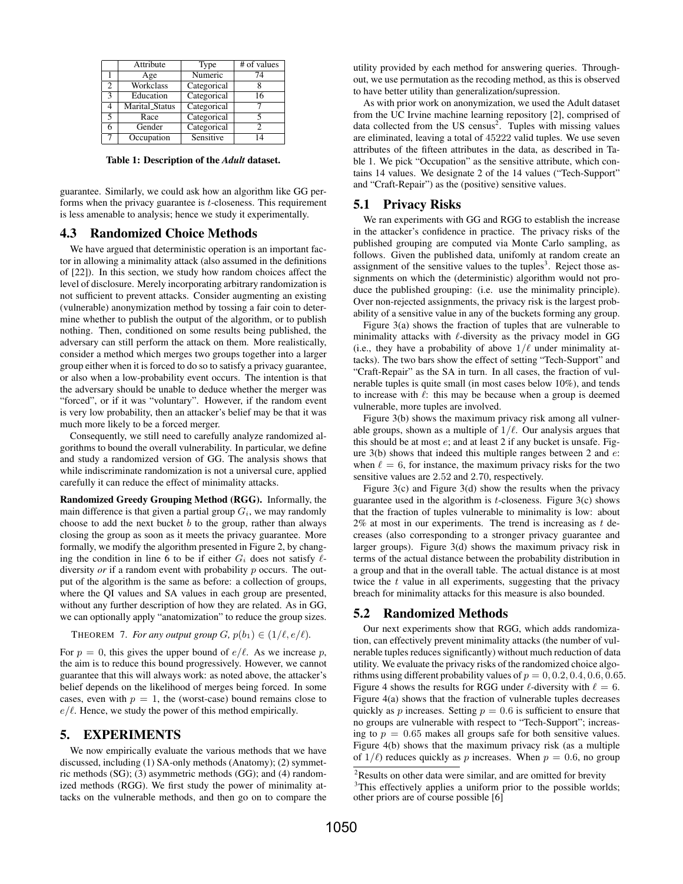|                          | Attribute             | Type        | # of values |
|--------------------------|-----------------------|-------------|-------------|
|                          | Age                   | Numeric     | 74          |
| 2                        | Workclass             | Categorical |             |
| $\overline{\mathcal{R}}$ | Education             | Categorical | 16          |
| 4                        | <b>Marital_Status</b> | Categorical |             |
| 5                        | Race                  | Categorical |             |
|                          | Gender                | Categorical | າ           |
|                          | Occupation            | Sensitive   | 14          |

Table 1: Description of the *Adult* dataset.

guarantee. Similarly, we could ask how an algorithm like GG performs when the privacy guarantee is  $t$ -closeness. This requirement is less amenable to analysis; hence we study it experimentally.

#### 4.3 Randomized Choice Methods

We have argued that deterministic operation is an important factor in allowing a minimality attack (also assumed in the definitions of [22]). In this section, we study how random choices affect the level of disclosure. Merely incorporating arbitrary randomization is not sufficient to prevent attacks. Consider augmenting an existing (vulnerable) anonymization method by tossing a fair coin to determine whether to publish the output of the algorithm, or to publish nothing. Then, conditioned on some results being published, the adversary can still perform the attack on them. More realistically, consider a method which merges two groups together into a larger group either when it is forced to do so to satisfy a privacy guarantee, or also when a low-probability event occurs. The intention is that the adversary should be unable to deduce whether the merger was "forced", or if it was "voluntary". However, if the random event is very low probability, then an attacker's belief may be that it was much more likely to be a forced merger.

Consequently, we still need to carefully analyze randomized algorithms to bound the overall vulnerability. In particular, we define and study a randomized version of GG. The analysis shows that while indiscriminate randomization is not a universal cure, applied carefully it can reduce the effect of minimality attacks.

Randomized Greedy Grouping Method (RGG). Informally, the main difference is that given a partial group  $G_i$ , we may randomly choose to add the next bucket  $b$  to the group, rather than always closing the group as soon as it meets the privacy guarantee. More formally, we modify the algorithm presented in Figure 2, by changing the condition in line 6 to be if either  $G_i$  does not satisfy  $\ell$ diversity *or* if a random event with probability *p* occurs. The output of the algorithm is the same as before: a collection of groups, where the QI values and SA values in each group are presented, without any further description of how they are related. As in GG, we can optionally apply "anatomization" to reduce the group sizes.

THEOREM 7. *For any output group*  $G$ ,  $p(b_1) \in (1/\ell, e/\ell)$ *.* 

For  $p = 0$ , this gives the upper bound of  $e/\ell$ . As we increase p, the aim is to reduce this bound progressively. However, we cannot guarantee that this will always work: as noted above, the attacker's belief depends on the likelihood of merges being forced. In some cases, even with  $p = 1$ , the (worst-case) bound remains close to  $e/\ell$ . Hence, we study the power of this method empirically.

#### 5. EXPERIMENTS

We now empirically evaluate the various methods that we have discussed, including (1) SA-only methods (Anatomy); (2) symmetric methods (SG); (3) asymmetric methods (GG); and (4) randomized methods (RGG). We first study the power of minimality attacks on the vulnerable methods, and then go on to compare the utility provided by each method for answering queries. Throughout, we use permutation as the recoding method, as this is observed to have better utility than generalization/supression.

As with prior work on anonymization, we used the Adult dataset from the UC Irvine machine learning repository [2], comprised of data collected from the US census<sup>2</sup>. Tuples with missing values are eliminated, leaving a total of 45222 valid tuples. We use seven attributes of the fifteen attributes in the data, as described in Table 1. We pick "Occupation" as the sensitive attribute, which contains 14 values. We designate 2 of the 14 values ("Tech-Support" and "Craft-Repair") as the (positive) sensitive values.

#### 5.1 Privacy Risks

We ran experiments with GG and RGG to establish the increase in the attacker's confidence in practice. The privacy risks of the published grouping are computed via Monte Carlo sampling, as follows. Given the published data, unifomly at random create an assignment of the sensitive values to the tuples<sup>3</sup>. Reject those assignments on which the (deterministic) algorithm would not produce the published grouping: (i.e. use the minimality principle). Over non-rejected assignments, the privacy risk is the largest probability of a sensitive value in any of the buckets forming any group.

Figure 3(a) shows the fraction of tuples that are vulnerable to minimality attacks with  $\ell$ -diversity as the privacy model in GG (i.e., they have a probability of above  $1/\ell$  under minimality attacks). The two bars show the effect of setting "Tech-Support" and "Craft-Repair" as the SA in turn. In all cases, the fraction of vulnerable tuples is quite small (in most cases below 10%), and tends to increase with  $\ell$ : this may be because when a group is deemed vulnerable, more tuples are involved.

Figure 3(b) shows the maximum privacy risk among all vulnerable groups, shown as a multiple of  $1/\ell$ . Our analysis argues that this should be at most  $e$ ; and at least 2 if any bucket is unsafe. Figure  $3(b)$  shows that indeed this multiple ranges between 2 and  $e$ : when  $\ell = 6$ , for instance, the maximum privacy risks for the two sensitive values are 2.52 and 2.70, respectively.

Figure 3(c) and Figure 3(d) show the results when the privacy guarantee used in the algorithm is  $t$ -closeness. Figure  $3(c)$  shows that the fraction of tuples vulnerable to minimality is low: about  $2\%$  at most in our experiments. The trend is increasing as t decreases (also corresponding to a stronger privacy guarantee and larger groups). Figure 3(d) shows the maximum privacy risk in terms of the actual distance between the probability distribution in a group and that in the overall table. The actual distance is at most twice the  $t$  value in all experiments, suggesting that the privacy breach for minimality attacks for this measure is also bounded.

#### 5.2 Randomized Methods

Our next experiments show that RGG, which adds randomization, can effectively prevent minimality attacks (the number of vulnerable tuples reduces significantly) without much reduction of data utility. We evaluate the privacy risks of the randomized choice algorithms using different probability values of  $p = 0, 0.2, 0.4, 0.6, 0.65$ . Figure 4 shows the results for RGG under  $\ell$ -diversity with  $\ell = 6$ . Figure 4(a) shows that the fraction of vulnerable tuples decreases quickly as  $p$  increases. Setting  $p = 0.6$  is sufficient to ensure that no groups are vulnerable with respect to "Tech-Support"; increasing to  $p = 0.65$  makes all groups safe for both sensitive values. Figure 4(b) shows that the maximum privacy risk (as a multiple of  $1/\ell$ ) reduces quickly as p increases. When  $p = 0.6$ , no group

 $2$ Results on other data were similar, and are omitted for brevity

<sup>&</sup>lt;sup>3</sup>This effectively applies a uniform prior to the possible worlds; other priors are of course possible [6]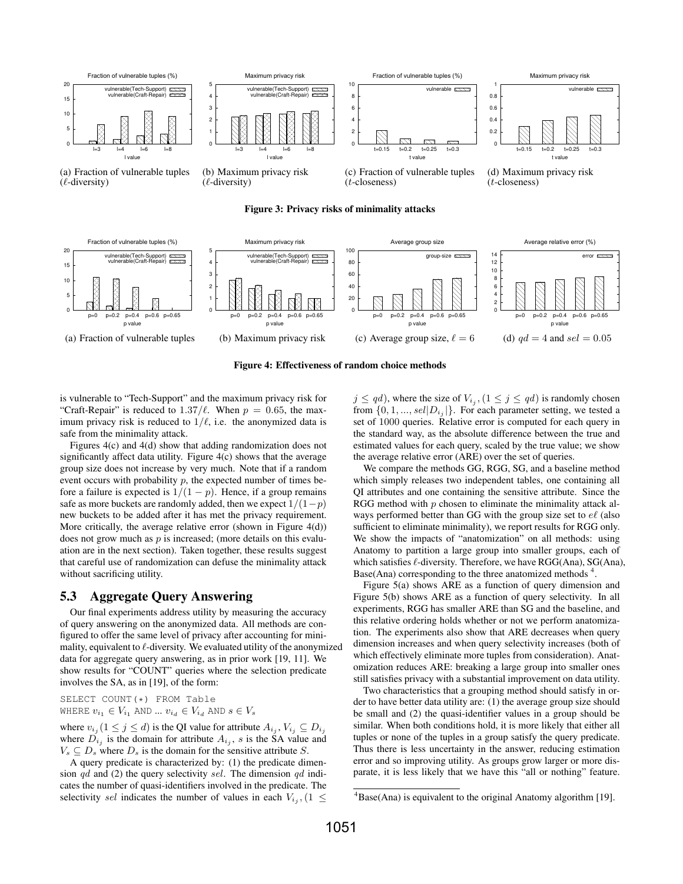

Figure 3: Privacy risks of minimality attacks



Figure 4: Effectiveness of random choice methods

is vulnerable to "Tech-Support" and the maximum privacy risk for "Craft-Repair" is reduced to  $1.37/\ell$ . When  $p = 0.65$ , the maximum privacy risk is reduced to  $1/\ell$ , i.e. the anonymized data is safe from the minimality attack.

Figures 4(c) and 4(d) show that adding randomization does not significantly affect data utility. Figure 4(c) shows that the average group size does not increase by very much. Note that if a random event occurs with probability  $p$ , the expected number of times before a failure is expected is  $1/(1-p)$ . Hence, if a group remains safe as more buckets are randomly added, then we expect  $1/(1-p)$ new buckets to be added after it has met the privacy requirement. More critically, the average relative error (shown in Figure 4(d)) does not grow much as  $p$  is increased; (more details on this evaluation are in the next section). Taken together, these results suggest that careful use of randomization can defuse the minimality attack without sacrificing utility.

#### 5.3 Aggregate Query Answering

Our final experiments address utility by measuring the accuracy of query answering on the anonymized data. All methods are configured to offer the same level of privacy after accounting for minimality, equivalent to  $\ell$ -diversity. We evaluated utility of the anonymized data for aggregate query answering, as in prior work [19, 11]. We show results for "COUNT" queries where the selection predicate involves the SA, as in [19], of the form:

SELECT COUNT(\*) FROM Table

WHERE  $v_{i_1} \in V_{i_1}$  and  $\ldots v_{i_d} \in V_{i_d}$  and  $s \in V_s$ 

where  $v_{i_j} (1 \leq j \leq d)$  is the QI value for attribute  $A_{i_j}$ ,  $V_{i_j} \subseteq D_{i_j}$ where  $D_{i_j}$  is the domain for attribute  $A_{i_j}$ , s is the SA value and  $V_s \subseteq D_s$  where  $D_s$  is the domain for the sensitive attribute S.

A query predicate is characterized by: (1) the predicate dimension  $qd$  and (2) the query selectivity sel. The dimension  $qd$  indicates the number of quasi-identifiers involved in the predicate. The selectivity sel indicates the number of values in each  $V_{i_j}$ ,  $(1 \leq$ 

 $j \leq qd$ ), where the size of  $V_{i_j}$ ,  $(1 \leq j \leq qd)$  is randomly chosen from  $\{0, 1, ..., sel|D_{i_j}|\}$ . For each parameter setting, we tested a set of 1000 queries. Relative error is computed for each query in the standard way, as the absolute difference between the true and estimated values for each query, scaled by the true value; we show the average relative error (ARE) over the set of queries.

We compare the methods GG, RGG, SG, and a baseline method which simply releases two independent tables, one containing all QI attributes and one containing the sensitive attribute. Since the RGG method with  $p$  chosen to eliminate the minimality attack always performed better than GG with the group size set to  $e\ell$  (also sufficient to eliminate minimality), we report results for RGG only. We show the impacts of "anatomization" on all methods: using Anatomy to partition a large group into smaller groups, each of which satisfies  $\ell$ -diversity. Therefore, we have RGG(Ana), SG(Ana), Base(Ana) corresponding to the three anatomized methods  $4$ .

Figure 5(a) shows ARE as a function of query dimension and Figure 5(b) shows ARE as a function of query selectivity. In all experiments, RGG has smaller ARE than SG and the baseline, and this relative ordering holds whether or not we perform anatomization. The experiments also show that ARE decreases when query dimension increases and when query selectivity increases (both of which effectively eliminate more tuples from consideration). Anatomization reduces ARE: breaking a large group into smaller ones still satisfies privacy with a substantial improvement on data utility.

Two characteristics that a grouping method should satisfy in order to have better data utility are: (1) the average group size should be small and (2) the quasi-identifier values in a group should be similar. When both conditions hold, it is more likely that either all tuples or none of the tuples in a group satisfy the query predicate. Thus there is less uncertainty in the answer, reducing estimation error and so improving utility. As groups grow larger or more disparate, it is less likely that we have this "all or nothing" feature.

 ${}^{4}$ Base(Ana) is equivalent to the original Anatomy algorithm [19].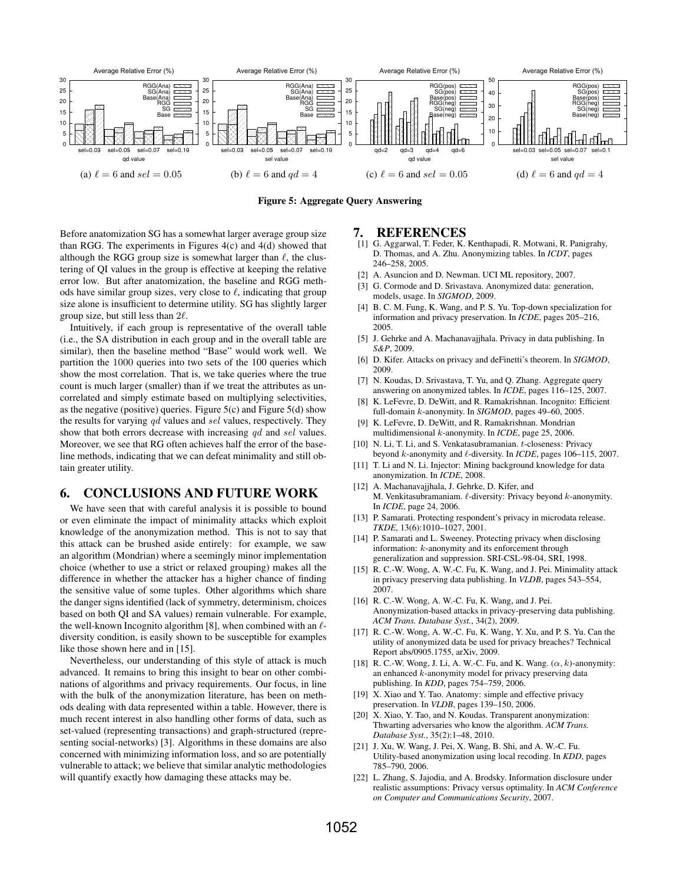

Figure 5: Aggregate Query Answering

Before anatomization SG has a somewhat larger average group size than RGG. The experiments in Figures 4(c) and 4(d) showed that although the RGG group size is somewhat larger than  $\ell$ , the clustering of QI values in the group is effective at keeping the relative error low. But after anatomization, the baseline and RGG methods have similar group sizes, very close to  $\ell$ , indicating that group size alone is insufficient to determine utility. SG has slightly larger group size, but still less than  $2\ell$ .

Intuitively, if each group is representative of the overall table (i.e., the SA distribution in each group and in the overall table are similar), then the baseline method "Base" would work well. We partition the 1000 queries into two sets of the 100 queries which show the most correlation. That is, we take queries where the true count is much larger (smaller) than if we treat the attributes as uncorrelated and simply estimate based on multiplying selectivities, as the negative (positive) queries. Figure  $5(c)$  and Figure  $5(d)$  show the results for varying  $qd$  values and sel values, respectively. They show that both errors decrease with increasing qd and sel values. Moreover, we see that RG often achieves half the error of the baseline methods, indicating that we can defeat minimality and still obtain greater utility.

# 6. CONCLUSIONS AND FUTURE WORK

We have seen that with careful analysis it is possible to bound or even eliminate the impact of minimality attacks which exploit knowledge of the anonymization method. This is not to say that this attack can be brushed aside entirely: for example, we saw an algorithm (Mondrian) where a seemingly minor implementation choice (whether to use a strict or relaxed grouping) makes all the difference in whether the attacker has a higher chance of finding the sensitive value of some tuples. Other algorithms which share the danger signs identified (lack of symmetry, determinism, choices based on both QI and SA values) remain vulnerable. For example, the well-known Incognito algorithm [8], when combined with an  $\ell$ diversity condition, is easily shown to be susceptible for examples like those shown here and in [15].

Nevertheless, our understanding of this style of attack is much advanced. It remains to bring this insight to bear on other combinations of algorithms and privacy requirements. Our focus, in line with the bulk of the anonymization literature, has been on methods dealing with data represented within a table. However, there is much recent interest in also handling other forms of data, such as set-valued (representing transactions) and graph-structured (representing social-networks) [3]. Algorithms in these domains are also concerned with minimizing information loss, and so are potentially vulnerable to attack; we believe that similar analytic methodologies will quantify exactly how damaging these attacks may be.

#### 7. REFERENCES

- [1] G. Aggarwal, T. Feder, K. Kenthapadi, R. Motwani, R. Panigrahy, D. Thomas, and A. Zhu. Anonymizing tables. In *ICDT*, pages 246–258, 2005.
- [2] A. Asuncion and D. Newman. UCI ML repository, 2007.
- [3] G. Cormode and D. Srivastava. Anonymized data: generation, models, usage. In *SIGMOD*, 2009.
- [4] B. C. M. Fung, K. Wang, and P. S. Yu. Top-down specialization for information and privacy preservation. In *ICDE*, pages 205–216, 2005.
- [5] J. Gehrke and A. Machanavajjhala. Privacy in data publishing. In *S&P*, 2009.
- [6] D. Kifer. Attacks on privacy and deFinetti's theorem. In *SIGMOD*, 2009.
- [7] N. Koudas, D. Srivastava, T. Yu, and Q. Zhang. Aggregate query answering on anonymized tables. In *ICDE*, pages 116–125, 2007.
- [8] K. LeFevre, D. DeWitt, and R. Ramakrishnan. Incognito: Efficient full-domain k-anonymity. In *SIGMOD*, pages 49–60, 2005.
- [9] K. LeFevre, D. DeWitt, and R. Ramakrishnan. Mondrian multidimensional k-anonymity. In *ICDE*, page 25, 2006.
- [10] N. Li, T. Li, and S. Venkatasubramanian. t-closeness: Privacy beyond k-anonymity and  $\ell$ -diversity. In *ICDE*, pages 106-115, 2007.
- [11] T. Li and N. Li. Injector: Mining background knowledge for data anonymization. In *ICDE*, 2008.
- [12] A. Machanavajjhala, J. Gehrke, D. Kifer, and M. Venkitasubramaniam.  $\ell$ -diversity: Privacy beyond  $k$ -anonymity. In *ICDE*, page 24, 2006.
- [13] P. Samarati. Protecting respondent's privacy in microdata release. *TKDE*, 13(6):1010–1027, 2001.
- [14] P. Samarati and L. Sweeney. Protecting privacy when disclosing information: k-anonymity and its enforcement through generalization and suppression. SRI-CSL-98-04, SRI, 1998.
- [15] R. C.-W. Wong, A. W.-C. Fu, K. Wang, and J. Pei. Minimality attack in privacy preserving data publishing. In *VLDB*, pages 543–554, 2007.
- [16] R. C.-W. Wong, A. W.-C. Fu, K. Wang, and J. Pei. Anonymization-based attacks in privacy-preserving data publishing. *ACM Trans. Database Syst.*, 34(2), 2009.
- [17] R. C.-W. Wong, A. W.-C. Fu, K. Wang, Y. Xu, and P. S. Yu. Can the utility of anonymized data be used for privacy breaches? Technical Report abs/0905.1755, arXiv, 2009.
- [18] R. C.-W. Wong, J. Li, A. W.-C. Fu, and K. Wang.  $(\alpha, k)$ -anonymity: an enhanced  $k$ -anonymity model for privacy preserving data publishing. In *KDD*, pages 754–759, 2006.
- [19] X. Xiao and Y. Tao. Anatomy: simple and effective privacy preservation. In *VLDB*, pages 139–150, 2006.
- [20] X. Xiao, Y. Tao, and N. Koudas. Transparent anonymization: Thwarting adversaries who know the algorithm. *ACM Trans. Database Syst.*, 35(2):1–48, 2010.
- [21] J. Xu, W. Wang, J. Pei, X. Wang, B. Shi, and A. W.-C. Fu. Utility-based anonymization using local recoding. In *KDD*, pages 785–790, 2006.
- [22] L. Zhang, S. Jajodia, and A. Brodsky. Information disclosure under realistic assumptions: Privacy versus optimality. In *ACM Conference on Computer and Communications Security*, 2007.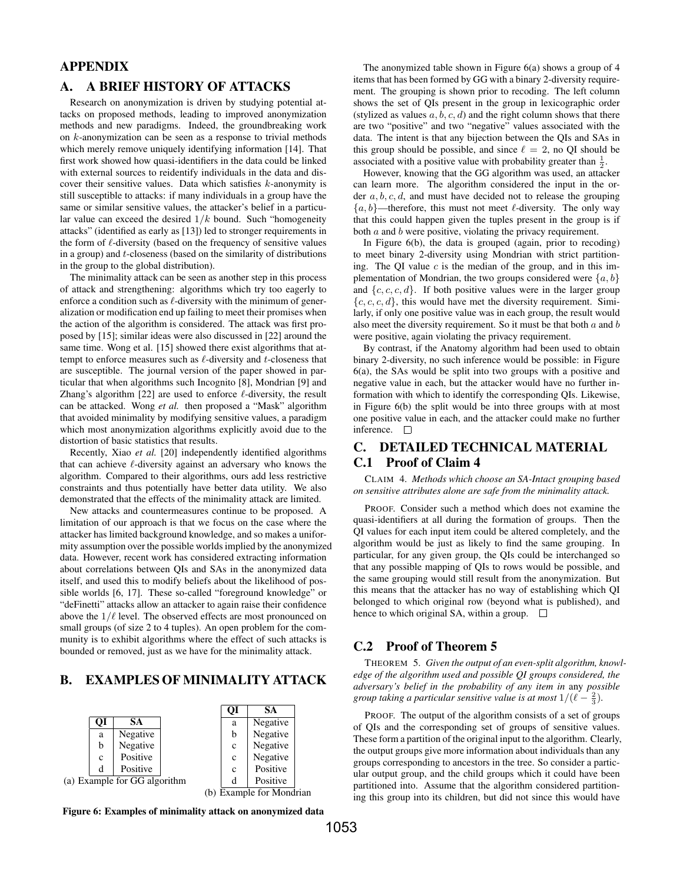## APPENDIX

## A. A BRIEF HISTORY OF ATTACKS

Research on anonymization is driven by studying potential attacks on proposed methods, leading to improved anonymization methods and new paradigms. Indeed, the groundbreaking work on k-anonymization can be seen as a response to trivial methods which merely remove uniquely identifying information [14]. That first work showed how quasi-identifiers in the data could be linked with external sources to reidentify individuals in the data and discover their sensitive values. Data which satisfies  $k$ -anonymity is still susceptible to attacks: if many individuals in a group have the same or similar sensitive values, the attacker's belief in a particular value can exceed the desired  $1/k$  bound. Such "homogeneity attacks" (identified as early as [13]) led to stronger requirements in the form of  $\ell$ -diversity (based on the frequency of sensitive values in a group) and t-closeness (based on the similarity of distributions in the group to the global distribution).

The minimality attack can be seen as another step in this process of attack and strengthening: algorithms which try too eagerly to enforce a condition such as  $\ell$ -diversity with the minimum of generalization or modification end up failing to meet their promises when the action of the algorithm is considered. The attack was first proposed by [15]; similar ideas were also discussed in [22] around the same time. Wong et al. [15] showed there exist algorithms that attempt to enforce measures such as  $\ell$ -diversity and t-closeness that are susceptible. The journal version of the paper showed in particular that when algorithms such Incognito [8], Mondrian [9] and Zhang's algorithm [22] are used to enforce  $\ell$ -diversity, the result can be attacked. Wong *et al.* then proposed a "Mask" algorithm that avoided minimality by modifying sensitive values, a paradigm which most anonymization algorithms explicitly avoid due to the distortion of basic statistics that results.

Recently, Xiao *et al.* [20] independently identified algorithms that can achieve  $\ell$ -diversity against an adversary who knows the algorithm. Compared to their algorithms, ours add less restrictive constraints and thus potentially have better data utility. We also demonstrated that the effects of the minimality attack are limited.

New attacks and countermeasures continue to be proposed. A limitation of our approach is that we focus on the case where the attacker has limited background knowledge, and so makes a uniformity assumption over the possible worlds implied by the anonymized data. However, recent work has considered extracting information about correlations between QIs and SAs in the anonymized data itself, and used this to modify beliefs about the likelihood of possible worlds [6, 17]. These so-called "foreground knowledge" or "deFinetti" attacks allow an attacker to again raise their confidence above the  $1/\ell$  level. The observed effects are most pronounced on small groups (of size 2 to 4 tuples). An open problem for the community is to exhibit algorithms where the effect of such attacks is bounded or removed, just as we have for the minimality attack.

## B. EXAMPLES OF MINIMALITY ATTACK



Figure 6: Examples of minimality attack on anonymized data

The anonymized table shown in Figure 6(a) shows a group of 4 items that has been formed by GG with a binary 2-diversity requirement. The grouping is shown prior to recoding. The left column shows the set of QIs present in the group in lexicographic order (stylized as values  $a, b, c, d$ ) and the right column shows that there are two "positive" and two "negative" values associated with the data. The intent is that any bijection between the QIs and SAs in this group should be possible, and since  $\ell = 2$ , no QI should be associated with a positive value with probability greater than  $\frac{1}{2}$ .

However, knowing that the GG algorithm was used, an attacker can learn more. The algorithm considered the input in the order  $a, b, c, d$ , and must have decided not to release the grouping  ${a, b}$ —therefore, this must not meet  $\ell$ -diversity. The only way that this could happen given the tuples present in the group is if both  $a$  and  $b$  were positive, violating the privacy requirement.

In Figure 6(b), the data is grouped (again, prior to recoding) to meet binary 2-diversity using Mondrian with strict partitioning. The QI value  $c$  is the median of the group, and in this implementation of Mondrian, the two groups considered were  $\{a, b\}$ and  $\{c, c, c, d\}$ . If both positive values were in the larger group  ${c, c, c, d}$ , this would have met the diversity requirement. Similarly, if only one positive value was in each group, the result would also meet the diversity requirement. So it must be that both  $a$  and  $b$ were positive, again violating the privacy requirement.

By contrast, if the Anatomy algorithm had been used to obtain binary 2-diversity, no such inference would be possible: in Figure 6(a), the SAs would be split into two groups with a positive and negative value in each, but the attacker would have no further information with which to identify the corresponding QIs. Likewise, in Figure 6(b) the split would be into three groups with at most one positive value in each, and the attacker could make no further inference.  $\square$ 

# C. DETAILED TECHNICAL MATERIAL C.1 Proof of Claim 4

CLAIM 4. *Methods which choose an SA-Intact grouping based on sensitive attributes alone are safe from the minimality attack.*

PROOF. Consider such a method which does not examine the quasi-identifiers at all during the formation of groups. Then the QI values for each input item could be altered completely, and the algorithm would be just as likely to find the same grouping. In particular, for any given group, the QIs could be interchanged so that any possible mapping of QIs to rows would be possible, and the same grouping would still result from the anonymization. But this means that the attacker has no way of establishing which QI belonged to which original row (beyond what is published), and hence to which original SA, within a group.  $\square$ 

## C.2 Proof of Theorem 5

THEOREM 5. *Given the output of an even-split algorithm, knowledge of the algorithm used and possible QI groups considered, the adversary's belief in the probability of any item in* any *possible group taking a particular sensitive value is at most*  $1/(\ell - \frac{2}{3})$ .

PROOF. The output of the algorithm consists of a set of groups of QIs and the corresponding set of groups of sensitive values. These form a partition of the original input to the algorithm. Clearly, the output groups give more information about individuals than any groups corresponding to ancestors in the tree. So consider a particular output group, and the child groups which it could have been partitioned into. Assume that the algorithm considered partitioning this group into its children, but did not since this would have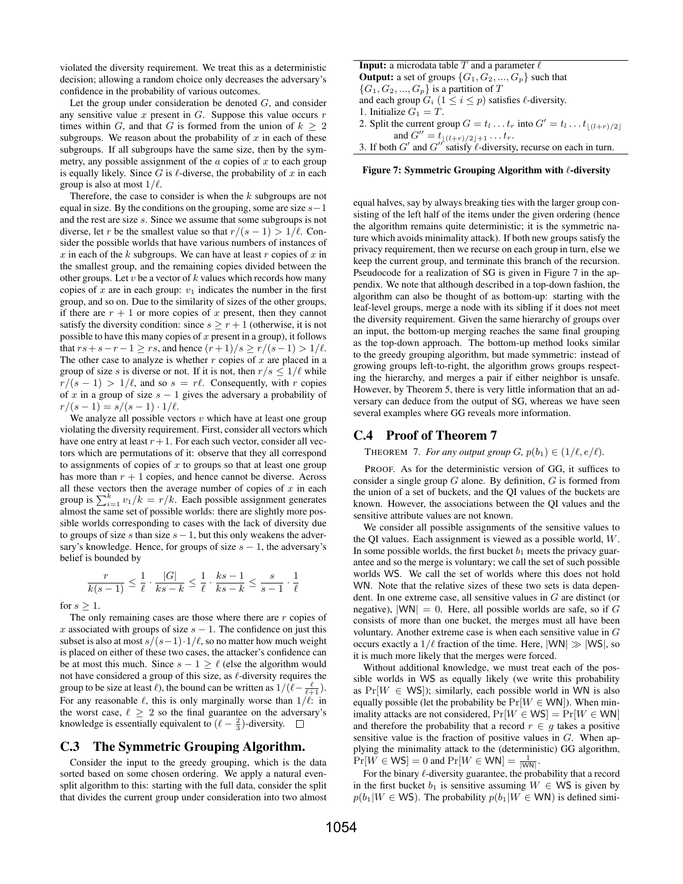violated the diversity requirement. We treat this as a deterministic decision; allowing a random choice only decreases the adversary's confidence in the probability of various outcomes.

Let the group under consideration be denoted  $G$ , and consider any sensitive value  $x$  present in  $G$ . Suppose this value occurs  $r$ times within G, and that G is formed from the union of  $k > 2$ subgroups. We reason about the probability of  $x$  in each of these subgroups. If all subgroups have the same size, then by the symmetry, any possible assignment of the  $\alpha$  copies of  $x$  to each group is equally likely. Since G is  $\ell$ -diverse, the probability of x in each group is also at most  $1/\ell$ .

Therefore, the case to consider is when the  $k$  subgroups are not equal in size. By the conditions on the grouping, some are size  $s-1$ and the rest are size s. Since we assume that some subgroups is not diverse, let r be the smallest value so that  $r/(s-1) > 1/\ell$ . Consider the possible worlds that have various numbers of instances of  $x$  in each of the  $k$  subgroups. We can have at least  $r$  copies of  $x$  in the smallest group, and the remaining copies divided between the other groups. Let  $v$  be a vector of  $k$  values which records how many copies of  $x$  are in each group:  $v_1$  indicates the number in the first group, and so on. Due to the similarity of sizes of the other groups, if there are  $r + 1$  or more copies of x present, then they cannot satisfy the diversity condition: since  $s \geq r + 1$  (otherwise, it is not possible to have this many copies of  $x$  present in a group), it follows that  $rs+s-r-1 \ge rs$ , and hence  $(r+1)/s \ge r/(s-1) > 1/\ell$ . The other case to analyze is whether  $r$  copies of  $x$  are placed in a group of size s is diverse or not. If it is not, then  $r/s \leq 1/\ell$  while  $r/(s-1) > 1/\ell$ , and so  $s = r\ell$ . Consequently, with r copies of x in a group of size  $s - 1$  gives the adversary a probability of  $r/(s-1) = s/(s-1) \cdot 1/\ell.$ 

We analyze all possible vectors  $v$  which have at least one group violating the diversity requirement. First, consider all vectors which have one entry at least  $r+1$ . For each such vector, consider all vectors which are permutations of it: observe that they all correspond to assignments of copies of  $x$  to groups so that at least one group has more than  $r + 1$  copies, and hence cannot be diverse. Across all these vectors then the average number of copies of  $x$  in each group is  $\sum_{i=1}^{k} v_1/k = r/k$ . Each possible assignment generates almost the same set of possible worlds: there are slightly more possible worlds corresponding to cases with the lack of diversity due to groups of size s than size  $s-1$ , but this only weakens the adversary's knowledge. Hence, for groups of size  $s - 1$ , the adversary's belief is bounded by

$$
\frac{r}{k(s-1)} \le \frac{1}{\ell} \cdot \frac{|G|}{ks-k} \le \frac{1}{\ell} \cdot \frac{ks-1}{ks-k} \le \frac{s}{s-1} \cdot \frac{1}{\ell}
$$

for  $s \geq 1$ .

The only remaining cases are those where there are  $r$  copies of x associated with groups of size  $s - 1$ . The confidence on just this subset is also at most  $s/(s-1) \cdot 1/\ell$ , so no matter how much weight is placed on either of these two cases, the attacker's confidence can be at most this much. Since  $s - 1 \ge \ell$  (else the algorithm would not have considered a group of this size, as  $\ell$ -diversity requires the group to be size at least  $\ell$ ), the bound can be written as  $1/(\ell - \frac{\ell}{\ell+1})$ . For any reasonable  $\ell$ , this is only marginally worse than  $1/\ell$ : in the worst case,  $\ell \geq 2$  so the final guarantee on the adversary's knowledge is essentially equivalent to  $(\ell - \frac{2}{3})$ -diversity.

#### C.3 The Symmetric Grouping Algorithm.

Consider the input to the greedy grouping, which is the data sorted based on some chosen ordering. We apply a natural evensplit algorithm to this: starting with the full data, consider the split that divides the current group under consideration into two almost

**Input:** a microdata table T and a parameter  $\ell$ **Output:** a set of groups  $\{G_1, G_2, ..., G_p\}$  such that  $\{G_1, G_2, ..., G_p\}$  is a partition of T and each group  $G_i$   $(1 \leq i \leq p)$  satisfies  $\ell$ -diversity. 1. Initialize  $G_1 = T$ . 2. Split the current group  $G = t_1 \dots t_r$  into  $G' = t_1 \dots t_{\lfloor (l+r)/2 \rfloor}$ and  $G'' = t_{|(l+r)/2|+1} \dots t_r$ . 3. If both  $G'$  and  $G''$  satisfy  $\ell$ -diversity, recurse on each in turn.

#### Figure 7: Symmetric Grouping Algorithm with  $\ell$ -diversity

equal halves, say by always breaking ties with the larger group consisting of the left half of the items under the given ordering (hence the algorithm remains quite deterministic; it is the symmetric nature which avoids minimality attack). If both new groups satisfy the privacy requirement, then we recurse on each group in turn, else we keep the current group, and terminate this branch of the recursion. Pseudocode for a realization of SG is given in Figure 7 in the appendix. We note that although described in a top-down fashion, the algorithm can also be thought of as bottom-up: starting with the leaf-level groups, merge a node with its sibling if it does not meet the diversity requirement. Given the same hierarchy of groups over an input, the bottom-up merging reaches the same final grouping as the top-down approach. The bottom-up method looks similar to the greedy grouping algorithm, but made symmetric: instead of growing groups left-to-right, the algorithm grows groups respecting the hierarchy, and merges a pair if either neighbor is unsafe. However, by Theorem 5, there is very little information that an adversary can deduce from the output of SG, whereas we have seen several examples where GG reveals more information.

#### C.4 Proof of Theorem 7

THEOREM 7. *For any output group*  $G$ ,  $p(b_1) \in (1/\ell, e/\ell)$ *.* 

PROOF. As for the deterministic version of GG, it suffices to consider a single group  $G$  alone. By definition,  $G$  is formed from the union of a set of buckets, and the QI values of the buckets are known. However, the associations between the QI values and the sensitive attribute values are not known.

We consider all possible assignments of the sensitive values to the QI values. Each assignment is viewed as a possible world, W. In some possible worlds, the first bucket  $b_1$  meets the privacy guarantee and so the merge is voluntary; we call the set of such possible worlds WS. We call the set of worlds where this does not hold WN. Note that the relative sizes of these two sets is data dependent. In one extreme case, all sensitive values in G are distinct (or negative),  $|WW| = 0$ . Here, all possible worlds are safe, so if G consists of more than one bucket, the merges must all have been voluntary. Another extreme case is when each sensitive value in G occurs exactly a  $1/\ell$  fraction of the time. Here,  $|WW| \gg |WS|$ , so it is much more likely that the merges were forced.

Without additional knowledge, we must treat each of the possible worlds in WS as equally likely (we write this probability as  $Pr[W \in WS]$ ; similarly, each possible world in WN is also equally possible (let the probability be  $Pr[W \in WN]$ ). When minimality attacks are not considered,  $Pr[W \in WS] = Pr[W \in WN]$ and therefore the probability that a record  $r \in g$  takes a positive sensitive value is the fraction of positive values in  $G$ . When applying the minimality attack to the (deterministic) GG algorithm,  $Pr[W \in WS] = 0$  and  $Pr[W \in WN] = \frac{1}{|WN|}$ .

For the binary  $\ell$ -diversity guarantee, the probability that a record in the first bucket  $b_1$  is sensitive assuming  $W \in \mathsf{WS}$  is given by  $p(b_1|W \in WS)$ . The probability  $p(b_1|W \in WN)$  is defined simi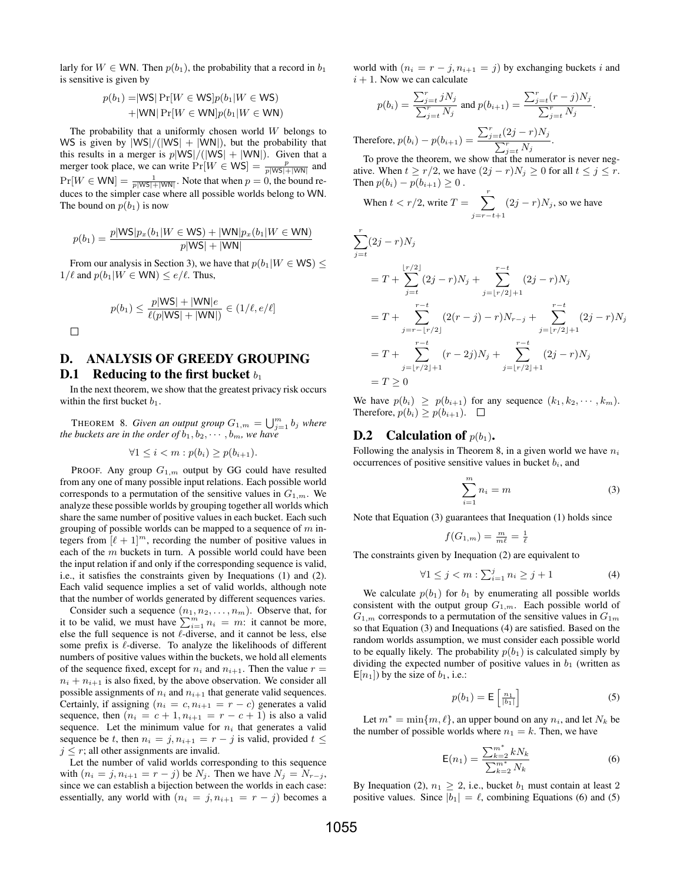larly for  $W \in \text{WN}$ . Then  $p(b_1)$ , the probability that a record in  $b_1$ is sensitive is given by

$$
p(b_1) = |WS| Pr[W \in WS] p(b_1|W \in WS)
$$
  
+|WN| Pr[W \in WN] p(b\_1|W \in WN)

The probability that a uniformly chosen world  $W$  belongs to WS is given by  $|WS|/(|WS| + |WN|)$ , but the probability that this results in a merger is  $p|WS|/(|WS| + |WN|)$ . Given that a merger took place, we can write  $Pr[W \in WS] = \frac{p}{p|WS|+|WN|}$  and  $Pr[W \in \text{WN}] = \frac{1}{p|W\text{S}|+|W\text{N}|}$ . Note that when  $p = 0$ , the bound reduces to the simpler case where all possible worlds belong to WN. The bound on  $p(b_1)$  is now

$$
p(b_1) = \frac{p|WS|p_x(b_1|W \in WS) + |WN|p_x(b_1|W \in WN)}{p|WS| + |WN|}
$$

From our analysis in Section 3), we have that  $p(b_1|W \in WS) \le$  $1/\ell$  and  $p(b_1|W \in \text{WN}) \leq e/\ell$ . Thus,

$$
p(b_1) \le \frac{p|\mathsf{WS}| + |\mathsf{WN}|e}{\ell(p|\mathsf{WS}| + |\mathsf{WN}|)} \in (1/\ell, e/\ell]
$$

 $\Box$ 

# D. ANALYSIS OF GREEDY GROUPING **D.1** Reducing to the first bucket  $b_1$

In the next theorem, we show that the greatest privacy risk occurs within the first bucket  $b_1$ .

**THEOREM** 8. *Given an output group*  $G_{1,m} = \bigcup_{j=1}^{m} b_j$  *where the buckets are in the order of*  $b_1, b_2, \cdots, b_m$ , we have

$$
\forall 1 \leq i < m : p(b_i) \geq p(b_{i+1}).
$$

PROOF. Any group  $G_{1,m}$  output by GG could have resulted from any one of many possible input relations. Each possible world corresponds to a permutation of the sensitive values in  $G_{1,m}$ . We analyze these possible worlds by grouping together all worlds which share the same number of positive values in each bucket. Each such grouping of possible worlds can be mapped to a sequence of  $m$  integers from  $[\ell + 1]^m$ , recording the number of positive values in each of the  $m$  buckets in turn. A possible world could have been the input relation if and only if the corresponding sequence is valid, i.e., it satisfies the constraints given by Inequations (1) and (2). Each valid sequence implies a set of valid worlds, although note that the number of worlds generated by different sequences varies.

Consider such a sequence  $(n_1, n_2, \ldots, n_m)$ . Observe that, for it to be valid, we must have  $\sum_{i=1}^{m} n_i = m$ : it cannot be more, else the full sequence is not  $\ell$ -diverse, and it cannot be less, else some prefix is  $\ell$ -diverse. To analyze the likelihoods of different numbers of positive values within the buckets, we hold all elements of the sequence fixed, except for  $n_i$  and  $n_{i+1}$ . Then the value  $r =$  $n_i + n_{i+1}$  is also fixed, by the above observation. We consider all possible assignments of  $n_i$  and  $n_{i+1}$  that generate valid sequences. Certainly, if assigning  $(n_i = c, n_{i+1} = r - c)$  generates a valid sequence, then  $(n_i = c + 1, n_{i+1} = r - c + 1)$  is also a valid sequence. Let the minimum value for  $n_i$  that generates a valid sequence be t, then  $n_i = j$ ,  $n_{i+1} = r - j$  is valid, provided  $t \leq$  $j \leq r$ ; all other assignments are invalid.

Let the number of valid worlds corresponding to this sequence with  $(n_i = j, n_{i+1} = r - j)$  be  $N_j$ . Then we have  $N_j = N_{r-j}$ , since we can establish a bijection between the worlds in each case: essentially, any world with  $(n_i = j, n_{i+1} = r - j)$  becomes a world with  $(n_i = r - j, n_{i+1} = j)$  by exchanging buckets i and  $i + 1$ . Now we can calculate

$$
p(b_i) = \frac{\sum_{j=t}^{r} j N_j}{\sum_{j=t}^{r} N_j}
$$
 and 
$$
p(b_{i+1}) = \frac{\sum_{j=t}^{r} (r-j) N_j}{\sum_{j=t}^{r} N_j}.
$$

Therefore,  $p(b_i) - p(b_{i+1}) =$  $\sum_{j=t}^{r} (2j - r)N_j$  $\frac{\sum_{j=t}^{r} N_j}{\sum_{j=t}^{r} N_j}$ .

To prove the theorem, we show that the numerator is never negative. When  $t \ge r/2$ , we have  $(2j - r)N_j \ge 0$  for all  $t \le j \le r$ . Then  $p(b_i) - p(b_{i+1}) \geq 0$ .

When 
$$
t < r/2
$$
, write  $T = \sum_{j=r-t+1}^{r} (2j - r)N_j$ , so we have

$$
\sum_{j=t}^{r} (2j - r)N_j
$$
\n
$$
= T + \sum_{j=t}^{\lfloor r/2 \rfloor} (2j - r)N_j + \sum_{j=\lfloor r/2 \rfloor + 1}^{r-t} (2j - r)N_j
$$
\n
$$
= T + \sum_{j=r-\lfloor r/2 \rfloor}^{r-t} (2(r - j) - r)N_{r-j} + \sum_{j=\lfloor r/2 \rfloor + 1}^{r-t} (2j - r)N_j
$$
\n
$$
= T + \sum_{j=\lfloor r/2 \rfloor + 1}^{r-t} (r - 2j)N_j + \sum_{j=\lfloor r/2 \rfloor + 1}^{r-t} (2j - r)N_j
$$
\n
$$
= T \ge 0
$$

We have  $p(b_i) \geq p(b_{i+1})$  for any sequence  $(k_1, k_2, \dots, k_m)$ . Therefore,  $p(b_i) \geq p(b_{i+1})$ .  $\Box$ 

## **D.2** Calculation of  $p(b_1)$ .

Following the analysis in Theorem 8, in a given world we have  $n_i$ occurrences of positive sensitive values in bucket  $b_i$ , and

$$
\sum_{i=1}^{m} n_i = m \tag{3}
$$

Note that Equation (3) guarantees that Inequation (1) holds since

$$
f(G_{1,m}) = \frac{m}{m\ell} = \frac{1}{\ell}
$$

The constraints given by Inequation (2) are equivalent to

$$
\forall 1 \le j < m: \sum_{i=1}^j n_i \ge j+1 \tag{4}
$$

We calculate  $p(b_1)$  for  $b_1$  by enumerating all possible worlds consistent with the output group  $G_{1,m}$ . Each possible world of  $G_{1,m}$  corresponds to a permutation of the sensitive values in  $G_{1m}$ so that Equation (3) and Inequations (4) are satisfied. Based on the random worlds assumption, we must consider each possible world to be equally likely. The probability  $p(b_1)$  is calculated simply by dividing the expected number of positive values in  $b_1$  (written as  $E[n_1]$ ) by the size of  $b_1$ , i.e.:

$$
p(b_1) = \mathsf{E}\left[\frac{n_1}{|b_1|}\right] \tag{5}
$$

Let  $m^* = \min\{m, \ell\}$ , an upper bound on any  $n_i$ , and let  $N_k$  be the number of possible worlds where  $n_1 = k$ . Then, we have

$$
E(n_1) = \frac{\sum_{k=2}^{m^*} kN_k}{\sum_{k=2}^{m^*} N_k}
$$
 (6)

By Inequation (2),  $n_1 \geq 2$ , i.e., bucket  $b_1$  must contain at least 2 positive values. Since  $|b_1| = \ell$ , combining Equations (6) and (5)